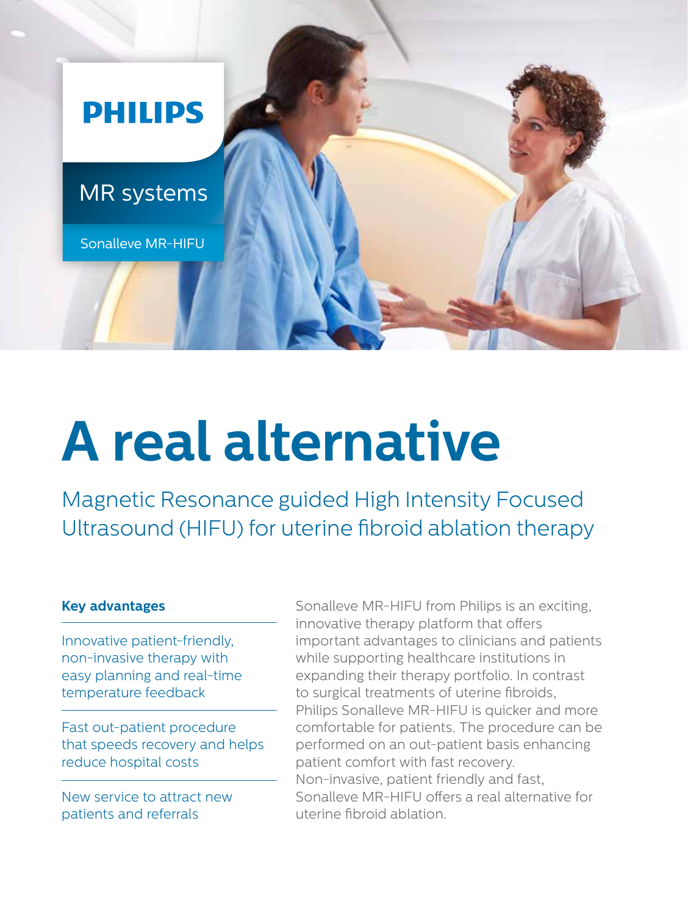

# **A real alternative**

Magnetic Resonance guided High Intensity Focused Ultrasound (HIFU) for uterine fibroid ablation therapy

## **Key advantages**

Innovative patient-friendly, non-invasive therapy with easy planning and real-time temperature feedback

Fast out-patient procedure that speeds recovery and helps reduce hospital costs

New service to attract new patients and referrals

Sonalleve MR-HIFU from Philips is an exciting, innovative therapy platform that offers important advantages to clinicians and patients while supporting healthcare institutions in expanding their therapy portfolio. In contrast to surgical treatments of uterine fibroids, Philips Sonalleve MR-HIFU is quicker and more comfortable for patients. The procedure can be performed on an out-patient basis enhancing patient comfort with fast recovery. Non-invasive, patient friendly and fast, Sonalleve MR-HIFU offers a real alternative for uterine fibroid ablation.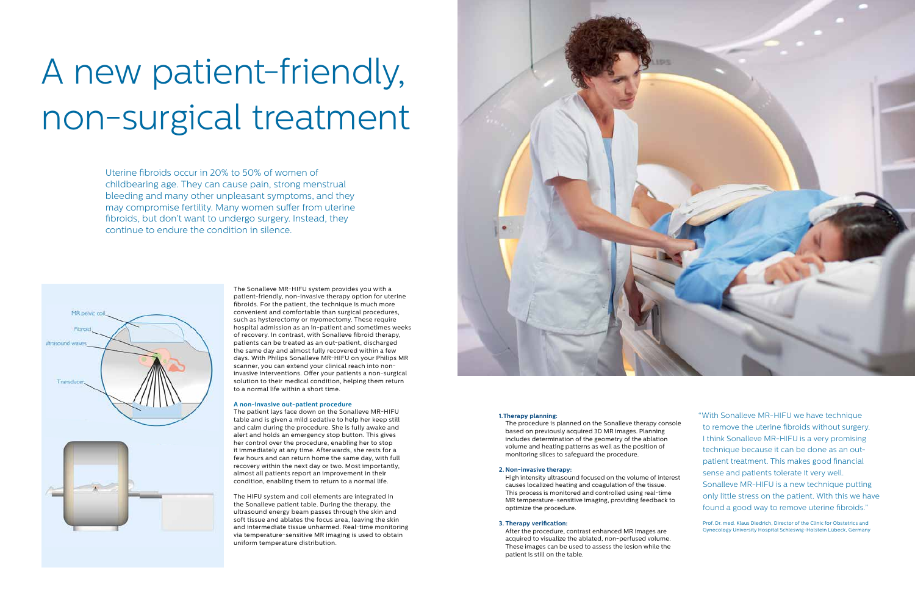#### **1.Therapy planning:**

The procedure is planned on the Sonalleve therapy console based on previously acquired 3D MR images. Planning includes determination of the geometry of the ablation volume and heating patterns as well as the position of monitoring slices to safeguard the procedure.

#### **2. Non-invasive therapy:**

High intensity ultrasound focused on the volume of interest causes localized heating and coagulation of the tissue. This process is monitored and controlled using real-time MR temperature-sensitive imaging, providing feedback to optimize the procedure.

#### **3. Therapy verification:**

After the procedure, contrast enhanced MR images are acquired to visualize the ablated, non-perfused volume. These images can be used to assess the lesion while the patient is still on the table.

# A new patient-friendly, non-surgical treatment

Uterine fibroids occur in 20% to 50% of women of childbearing age. They can cause pain, strong menstrual bleeding and many other unpleasant symptoms, and they may compromise fertility. Many women suffer from uterine fibroids, but don't want to undergo surgery. Instead, they continue to endure the condition in silence.



The Sonalleve MR-HIFU system provides you with a patient-friendly, non-invasive therapy option for uterine fibroids. For the patient, the technique is much more convenient and comfortable than surgical procedures, such as hysterectomy or myomectomy. These require hospital admission as an in-patient and sometimes weeks of recovery. In contrast, with Sonalleve fibroid therapy, patients can be treated as an out-patient, discharged the same day and almost fully recovered within a few days. With Philips Sonalleve MR-HIFU on your Philips MR scanner, you can extend your clinical reach into noninvasive interventions. Offer your patients a non-surgical solution to their medical condition, helping them return to a normal life within a short time.

#### **A non-invasive out-patient procedure**

The patient lays face down on the Sonalleve MR-HIFU table and is given a mild sedative to help her keep still and calm during the procedure. She is fully awake and alert and holds an emergency stop button. This gives her control over the procedure, enabling her to stop it immediately at any time. Afterwards, she rests for a few hours and can return home the same day, with full recovery within the next day or two. Most importantly, almost all patients report an improvement in their condition, enabling them to return to a normal life.

The HIFU system and coil elements are integrated in the Sonalleve patient table. During the therapy, the ultrasound energy beam passes through the skin and soft tissue and ablates the focus area, leaving the skin and intermediate tissue unharmed. Real-time monitoring via temperature-sensitive MR imaging is used to obtain uniform temperature distribution.



"With Sonalleve MR-HIFU we have technique to remove the uterine fibroids without surgery. I think Sonalleve MR-HIFU is a very promising technique because it can be done as an outpatient treatment. This makes good financial sense and patients tolerate it very well. Sonalleve MR-HIFU is a new technique putting only little stress on the patient. With this we have found a good way to remove uterine fibroids."

Prof. Dr. med. Klaus Diedrich, Director of the Clinic for Obstetrics and Gynecology University Hospital Schleswig-Holstein Lübeck, Germany